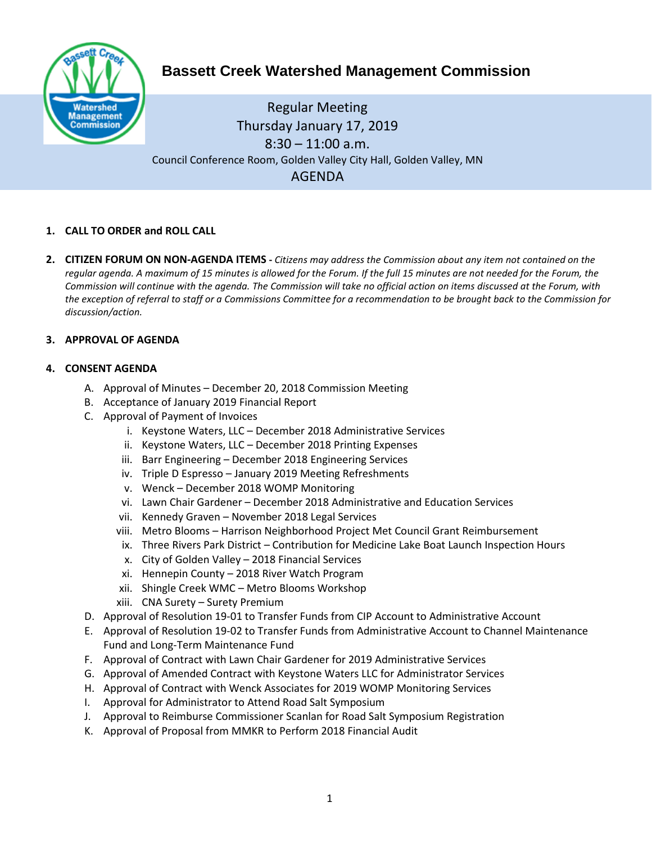

# **Bassett Creek Watershed Management Commission**

Regular Meeting Thursday January 17, 2019  $8:30 - 11:00$  a.m. Council Conference Room, Golden Valley City Hall, Golden Valley, MN AGENDA

# **1. CALL TO ORDER and ROLL CALL**

**2. CITIZEN FORUM ON NON-AGENDA ITEMS -** *Citizens may address the Commission about any item not contained on the regular agenda. A maximum of 15 minutes is allowed for the Forum. If the full 15 minutes are not needed for the Forum, the Commission will continue with the agenda. The Commission will take no official action on items discussed at the Forum, with the exception of referral to staff or a Commissions Committee for a recommendation to be brought back to the Commission for discussion/action.*

### **3. APPROVAL OF AGENDA**

### **4. CONSENT AGENDA**

- A. Approval of Minutes December 20, 2018 Commission Meeting
- B. Acceptance of January 2019 Financial Report
- C. Approval of Payment of Invoices
	- i. Keystone Waters, LLC December 2018 Administrative Services
	- ii. Keystone Waters, LLC December 2018 Printing Expenses
	- iii. Barr Engineering December 2018 Engineering Services
	- iv. Triple D Espresso January 2019 Meeting Refreshments
	- v. Wenck December 2018 WOMP Monitoring
	- vi. Lawn Chair Gardener December 2018 Administrative and Education Services
	- vii. Kennedy Graven November 2018 Legal Services
	- viii. Metro Blooms Harrison Neighborhood Project Met Council Grant Reimbursement
	- ix. Three Rivers Park District Contribution for Medicine Lake Boat Launch Inspection Hours
	- x. City of Golden Valley 2018 Financial Services
	- xi. Hennepin County 2018 River Watch Program
	- xii. Shingle Creek WMC Metro Blooms Workshop
	- xiii. CNA Surety Surety Premium
- D. Approval of Resolution 19-01 to Transfer Funds from CIP Account to Administrative Account
- E. Approval of Resolution 19-02 to Transfer Funds from Administrative Account to Channel Maintenance Fund and Long-Term Maintenance Fund
- F. Approval of Contract with Lawn Chair Gardener for 2019 Administrative Services
- G. Approval of Amended Contract with Keystone Waters LLC for Administrator Services
- H. Approval of Contract with Wenck Associates for 2019 WOMP Monitoring Services
- I. Approval for Administrator to Attend Road Salt Symposium
- J. Approval to Reimburse Commissioner Scanlan for Road Salt Symposium Registration
- K. Approval of Proposal from MMKR to Perform 2018 Financial Audit